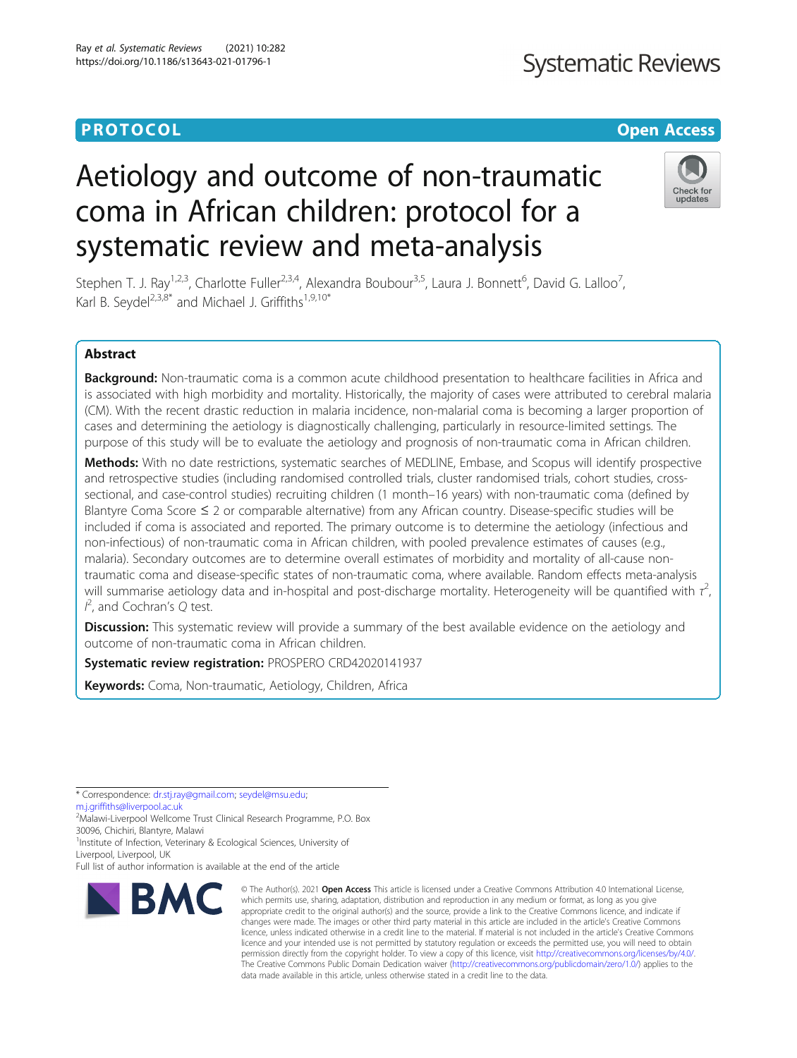Check for undates

# Aetiology and outcome of non-traumatic coma in African children: protocol for a systematic review and meta-analysis

Stephen T. J. Ray<sup>1,2,3</sup>, Charlotte Fuller<sup>2,3,4</sup>, Alexandra Boubour<sup>3,5</sup>, Laura J. Bonnett<sup>6</sup>, David G. Lalloo<sup>7</sup> , Karl B. Seydel<sup>2,3,8\*</sup> and Michael J. Griffiths<sup>1,9,10\*</sup>

## Abstract

Background: Non-traumatic coma is a common acute childhood presentation to healthcare facilities in Africa and is associated with high morbidity and mortality. Historically, the majority of cases were attributed to cerebral malaria (CM). With the recent drastic reduction in malaria incidence, non-malarial coma is becoming a larger proportion of cases and determining the aetiology is diagnostically challenging, particularly in resource-limited settings. The purpose of this study will be to evaluate the aetiology and prognosis of non-traumatic coma in African children.

Methods: With no date restrictions, systematic searches of MEDLINE, Embase, and Scopus will identify prospective and retrospective studies (including randomised controlled trials, cluster randomised trials, cohort studies, crosssectional, and case-control studies) recruiting children (1 month–16 years) with non-traumatic coma (defined by Blantyre Coma Score  $\leq 2$  or comparable alternative) from any African country. Disease-specific studies will be included if coma is associated and reported. The primary outcome is to determine the aetiology (infectious and non-infectious) of non-traumatic coma in African children, with pooled prevalence estimates of causes (e.g., malaria). Secondary outcomes are to determine overall estimates of morbidity and mortality of all-cause nontraumatic coma and disease-specific states of non-traumatic coma, where available. Random effects meta-analysis will summarise aetiology data and in-hospital and post-discharge mortality. Heterogeneity will be quantified with  $\tau^2$ , I  $^{2}$ , and Cochran's Q test.

**Discussion:** This systematic review will provide a summary of the best available evidence on the aetiology and outcome of non-traumatic coma in African children.

Systematic review registration: PROSPERO CRD42020141937

Keywords: Coma, Non-traumatic, Aetiology, Children, Africa

\* Correspondence: [dr.stj.ray@gmail.com](mailto:dr.stj.ray@gmail.com); [seydel@msu.edu;](mailto:seydel@msu.edu)

[m.j.griffiths@liverpool.ac.uk](mailto:m.j.griffiths@liverpool.ac.uk)

2 Malawi-Liverpool Wellcome Trust Clinical Research Programme, P.O. Box 30096, Chichiri, Blantyre, Malawi

<sup>1</sup>Institute of Infection, Veterinary & Ecological Sciences, University of

Liverpool, Liverpool, UK

Full list of author information is available at the end of the article



<sup>©</sup> The Author(s), 2021 **Open Access** This article is licensed under a Creative Commons Attribution 4.0 International License, which permits use, sharing, adaptation, distribution and reproduction in any medium or format, as long as you give appropriate credit to the original author(s) and the source, provide a link to the Creative Commons licence, and indicate if changes were made. The images or other third party material in this article are included in the article's Creative Commons licence, unless indicated otherwise in a credit line to the material. If material is not included in the article's Creative Commons licence and your intended use is not permitted by statutory regulation or exceeds the permitted use, you will need to obtain permission directly from the copyright holder. To view a copy of this licence, visit [http://creativecommons.org/licenses/by/4.0/.](http://creativecommons.org/licenses/by/4.0/) The Creative Commons Public Domain Dedication waiver [\(http://creativecommons.org/publicdomain/zero/1.0/](http://creativecommons.org/publicdomain/zero/1.0/)) applies to the data made available in this article, unless otherwise stated in a credit line to the data.

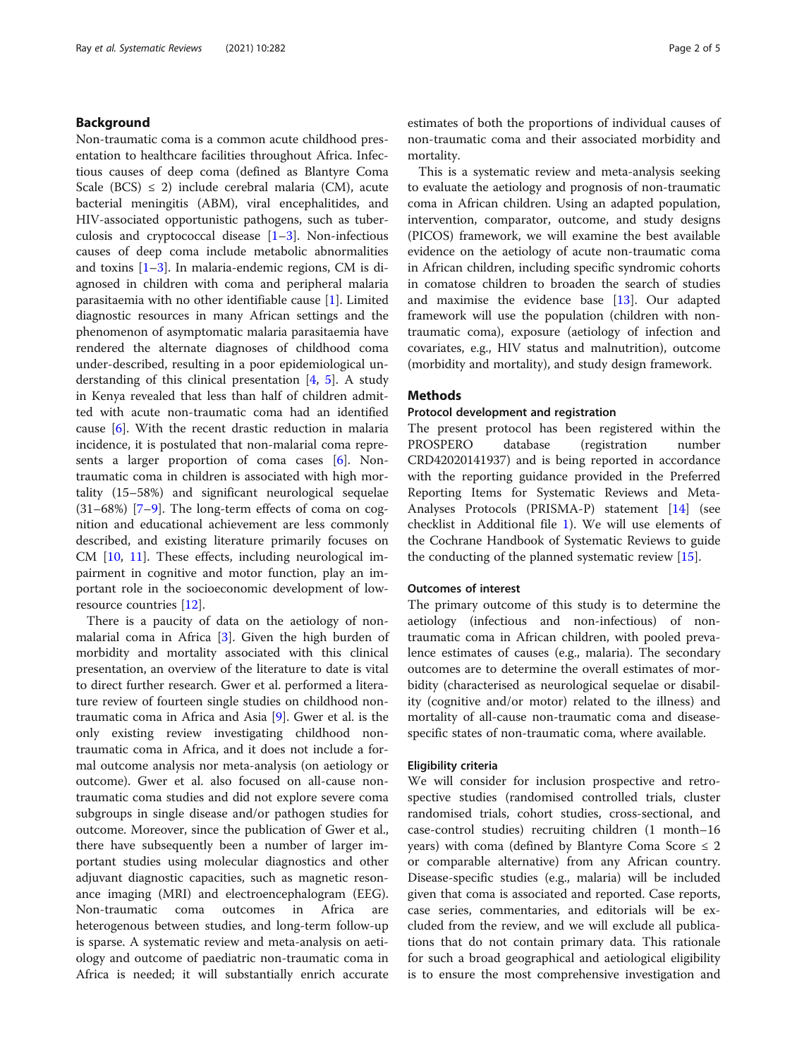## Background

Non-traumatic coma is a common acute childhood presentation to healthcare facilities throughout Africa. Infectious causes of deep coma (defined as Blantyre Coma Scale (BCS)  $\leq$  2) include cerebral malaria (CM), acute bacterial meningitis (ABM), viral encephalitides, and HIV-associated opportunistic pathogens, such as tuberculosis and cryptococcal disease [\[1](#page-4-0)–[3\]](#page-4-0). Non-infectious causes of deep coma include metabolic abnormalities and toxins [[1](#page-4-0)–[3](#page-4-0)]. In malaria-endemic regions, CM is diagnosed in children with coma and peripheral malaria parasitaemia with no other identifiable cause [[1\]](#page-4-0). Limited diagnostic resources in many African settings and the phenomenon of asymptomatic malaria parasitaemia have rendered the alternate diagnoses of childhood coma under-described, resulting in a poor epidemiological understanding of this clinical presentation  $[4, 5]$  $[4, 5]$  $[4, 5]$  $[4, 5]$ . A study in Kenya revealed that less than half of children admitted with acute non-traumatic coma had an identified cause [\[6](#page-4-0)]. With the recent drastic reduction in malaria incidence, it is postulated that non-malarial coma represents a larger proportion of coma cases [[6\]](#page-4-0). Nontraumatic coma in children is associated with high mortality (15–58%) and significant neurological sequelae  $(31–68%)$   $[7–9]$  $[7–9]$  $[7–9]$  $[7–9]$ . The long-term effects of coma on cognition and educational achievement are less commonly described, and existing literature primarily focuses on CM [\[10](#page-4-0), [11\]](#page-4-0). These effects, including neurological impairment in cognitive and motor function, play an important role in the socioeconomic development of lowresource countries [\[12](#page-4-0)].

There is a paucity of data on the aetiology of nonmalarial coma in Africa [[3\]](#page-4-0). Given the high burden of morbidity and mortality associated with this clinical presentation, an overview of the literature to date is vital to direct further research. Gwer et al. performed a literature review of fourteen single studies on childhood nontraumatic coma in Africa and Asia [\[9](#page-4-0)]. Gwer et al. is the only existing review investigating childhood nontraumatic coma in Africa, and it does not include a formal outcome analysis nor meta-analysis (on aetiology or outcome). Gwer et al. also focused on all-cause nontraumatic coma studies and did not explore severe coma subgroups in single disease and/or pathogen studies for outcome. Moreover, since the publication of Gwer et al., there have subsequently been a number of larger important studies using molecular diagnostics and other adjuvant diagnostic capacities, such as magnetic resonance imaging (MRI) and electroencephalogram (EEG). Non-traumatic coma outcomes in Africa are heterogenous between studies, and long-term follow-up is sparse. A systematic review and meta-analysis on aetiology and outcome of paediatric non-traumatic coma in Africa is needed; it will substantially enrich accurate estimates of both the proportions of individual causes of non-traumatic coma and their associated morbidity and mortality.

This is a systematic review and meta-analysis seeking to evaluate the aetiology and prognosis of non-traumatic coma in African children. Using an adapted population, intervention, comparator, outcome, and study designs (PICOS) framework, we will examine the best available evidence on the aetiology of acute non-traumatic coma in African children, including specific syndromic cohorts in comatose children to broaden the search of studies and maximise the evidence base [\[13](#page-4-0)]. Our adapted framework will use the population (children with nontraumatic coma), exposure (aetiology of infection and covariates, e.g., HIV status and malnutrition), outcome (morbidity and mortality), and study design framework.

## **Methods**

## Protocol development and registration

The present protocol has been registered within the PROSPERO database (registration number CRD42020141937) and is being reported in accordance with the reporting guidance provided in the Preferred Reporting Items for Systematic Reviews and Meta-Analyses Protocols (PRISMA-P) statement [[14](#page-4-0)] (see checklist in Additional file [1\)](#page-3-0). We will use elements of the Cochrane Handbook of Systematic Reviews to guide the conducting of the planned systematic review [\[15\]](#page-4-0).

## Outcomes of interest

The primary outcome of this study is to determine the aetiology (infectious and non-infectious) of nontraumatic coma in African children, with pooled prevalence estimates of causes (e.g., malaria). The secondary outcomes are to determine the overall estimates of morbidity (characterised as neurological sequelae or disability (cognitive and/or motor) related to the illness) and mortality of all-cause non-traumatic coma and diseasespecific states of non-traumatic coma, where available.

## Eligibility criteria

We will consider for inclusion prospective and retrospective studies (randomised controlled trials, cluster randomised trials, cohort studies, cross-sectional, and case-control studies) recruiting children (1 month–16 years) with coma (defined by Blantyre Coma Score  $\leq 2$ or comparable alternative) from any African country. Disease-specific studies (e.g., malaria) will be included given that coma is associated and reported. Case reports, case series, commentaries, and editorials will be excluded from the review, and we will exclude all publications that do not contain primary data. This rationale for such a broad geographical and aetiological eligibility is to ensure the most comprehensive investigation and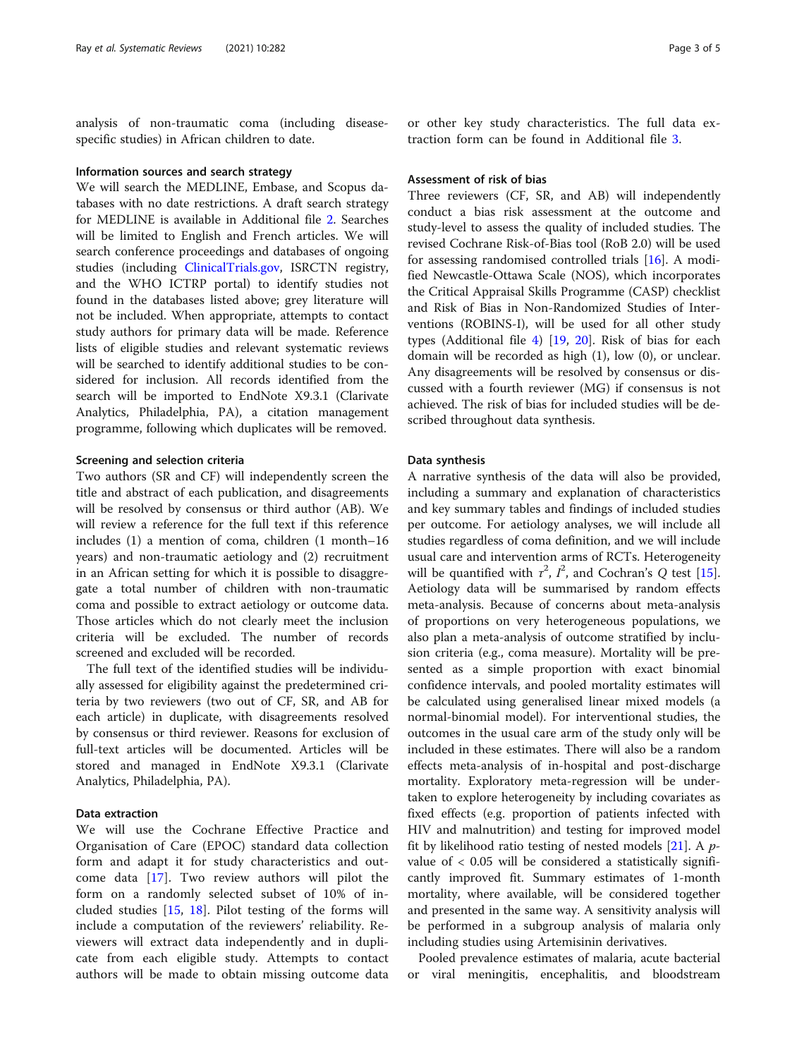analysis of non-traumatic coma (including diseasespecific studies) in African children to date.

## Information sources and search strategy

We will search the MEDLINE, Embase, and Scopus databases with no date restrictions. A draft search strategy for MEDLINE is available in Additional file [2](#page-3-0). Searches will be limited to English and French articles. We will search conference proceedings and databases of ongoing studies (including [ClinicalTrials.gov](http://clinicaltrials.gov), ISRCTN registry, and the WHO ICTRP portal) to identify studies not found in the databases listed above; grey literature will not be included. When appropriate, attempts to contact study authors for primary data will be made. Reference lists of eligible studies and relevant systematic reviews will be searched to identify additional studies to be considered for inclusion. All records identified from the search will be imported to EndNote X9.3.1 (Clarivate Analytics, Philadelphia, PA), a citation management programme, following which duplicates will be removed.

## Screening and selection criteria

Two authors (SR and CF) will independently screen the title and abstract of each publication, and disagreements will be resolved by consensus or third author (AB). We will review a reference for the full text if this reference includes (1) a mention of coma, children (1 month–16 years) and non-traumatic aetiology and (2) recruitment in an African setting for which it is possible to disaggregate a total number of children with non-traumatic coma and possible to extract aetiology or outcome data. Those articles which do not clearly meet the inclusion criteria will be excluded. The number of records screened and excluded will be recorded.

The full text of the identified studies will be individually assessed for eligibility against the predetermined criteria by two reviewers (two out of CF, SR, and AB for each article) in duplicate, with disagreements resolved by consensus or third reviewer. Reasons for exclusion of full-text articles will be documented. Articles will be stored and managed in EndNote X9.3.1 (Clarivate Analytics, Philadelphia, PA).

## Data extraction

We will use the Cochrane Effective Practice and Organisation of Care (EPOC) standard data collection form and adapt it for study characteristics and outcome data [[17\]](#page-4-0). Two review authors will pilot the form on a randomly selected subset of 10% of included studies [[15](#page-4-0), [18\]](#page-4-0). Pilot testing of the forms will include a computation of the reviewers' reliability. Reviewers will extract data independently and in duplicate from each eligible study. Attempts to contact authors will be made to obtain missing outcome data

or other key study characteristics. The full data extraction form can be found in Additional file [3](#page-3-0).

## Assessment of risk of bias

Three reviewers (CF, SR, and AB) will independently conduct a bias risk assessment at the outcome and study-level to assess the quality of included studies. The revised Cochrane Risk-of-Bias tool (RoB 2.0) will be used for assessing randomised controlled trials [\[16](#page-4-0)]. A modified Newcastle-Ottawa Scale (NOS), which incorporates the Critical Appraisal Skills Programme (CASP) checklist and Risk of Bias in Non-Randomized Studies of Interventions (ROBINS-I), will be used for all other study types (Additional file [4\)](#page-3-0) [\[19](#page-4-0), [20\]](#page-4-0). Risk of bias for each domain will be recorded as high (1), low (0), or unclear. Any disagreements will be resolved by consensus or discussed with a fourth reviewer (MG) if consensus is not achieved. The risk of bias for included studies will be described throughout data synthesis.

## Data synthesis

A narrative synthesis of the data will also be provided, including a summary and explanation of characteristics and key summary tables and findings of included studies per outcome. For aetiology analyses, we will include all studies regardless of coma definition, and we will include usual care and intervention arms of RCTs. Heterogeneity will be quantified with  $\tau^2$ ,  $I^2$ , and Cochran's Q test [\[15](#page-4-0)]. Aetiology data will be summarised by random effects meta-analysis. Because of concerns about meta-analysis of proportions on very heterogeneous populations, we also plan a meta-analysis of outcome stratified by inclusion criteria (e.g., coma measure). Mortality will be presented as a simple proportion with exact binomial confidence intervals, and pooled mortality estimates will be calculated using generalised linear mixed models (a normal-binomial model). For interventional studies, the outcomes in the usual care arm of the study only will be included in these estimates. There will also be a random effects meta-analysis of in-hospital and post-discharge mortality. Exploratory meta-regression will be undertaken to explore heterogeneity by including covariates as fixed effects (e.g. proportion of patients infected with HIV and malnutrition) and testing for improved model fit by likelihood ratio testing of nested models  $[21]$  $[21]$ . A pvalue of < 0.05 will be considered a statistically significantly improved fit. Summary estimates of 1-month mortality, where available, will be considered together and presented in the same way. A sensitivity analysis will be performed in a subgroup analysis of malaria only including studies using Artemisinin derivatives.

Pooled prevalence estimates of malaria, acute bacterial or viral meningitis, encephalitis, and bloodstream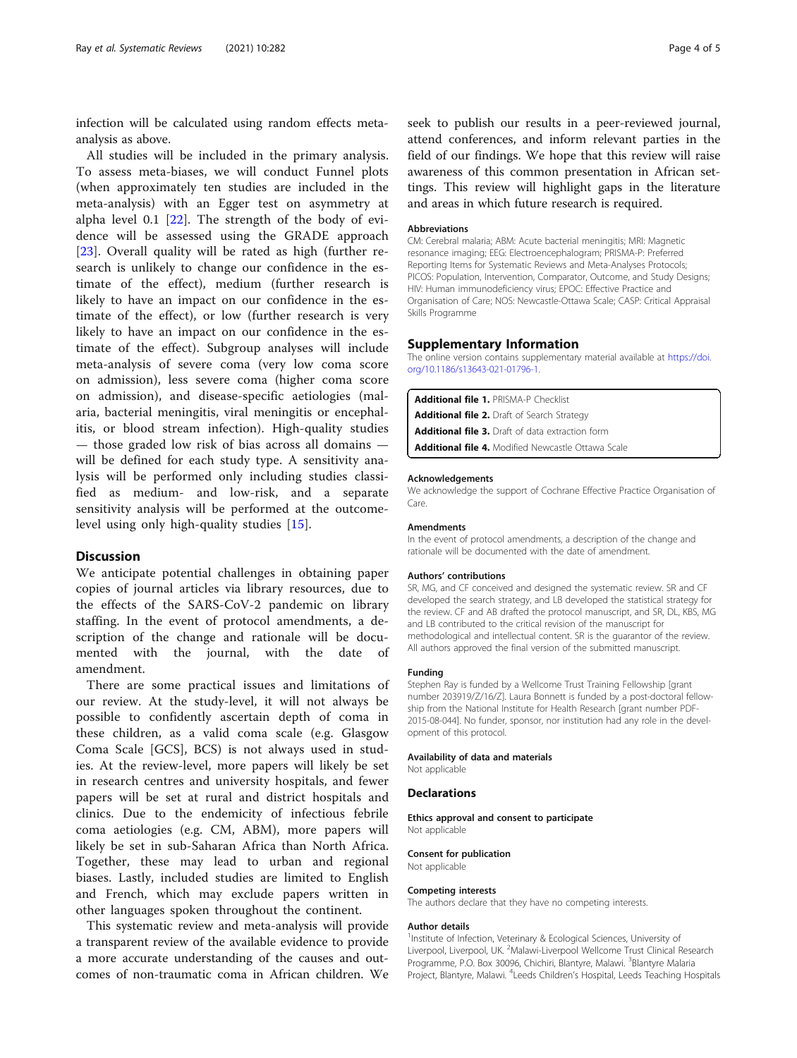<span id="page-3-0"></span>infection will be calculated using random effects metaanalysis as above.

All studies will be included in the primary analysis. To assess meta-biases, we will conduct Funnel plots (when approximately ten studies are included in the meta-analysis) with an Egger test on asymmetry at alpha level 0.1 [\[22](#page-4-0)]. The strength of the body of evidence will be assessed using the GRADE approach [[23\]](#page-4-0). Overall quality will be rated as high (further research is unlikely to change our confidence in the estimate of the effect), medium (further research is likely to have an impact on our confidence in the estimate of the effect), or low (further research is very likely to have an impact on our confidence in the estimate of the effect). Subgroup analyses will include meta-analysis of severe coma (very low coma score on admission), less severe coma (higher coma score on admission), and disease-specific aetiologies (malaria, bacterial meningitis, viral meningitis or encephalitis, or blood stream infection). High-quality studies — those graded low risk of bias across all domains will be defined for each study type. A sensitivity analysis will be performed only including studies classified as medium- and low-risk, and a separate sensitivity analysis will be performed at the outcomelevel using only high-quality studies [[15\]](#page-4-0).

## **Discussion**

We anticipate potential challenges in obtaining paper copies of journal articles via library resources, due to the effects of the SARS-CoV-2 pandemic on library staffing. In the event of protocol amendments, a description of the change and rationale will be documented with the journal, with the date of amendment.

There are some practical issues and limitations of our review. At the study-level, it will not always be possible to confidently ascertain depth of coma in these children, as a valid coma scale (e.g. Glasgow Coma Scale [GCS], BCS) is not always used in studies. At the review-level, more papers will likely be set in research centres and university hospitals, and fewer papers will be set at rural and district hospitals and clinics. Due to the endemicity of infectious febrile coma aetiologies (e.g. CM, ABM), more papers will likely be set in sub-Saharan Africa than North Africa. Together, these may lead to urban and regional biases. Lastly, included studies are limited to English and French, which may exclude papers written in other languages spoken throughout the continent.

This systematic review and meta-analysis will provide a transparent review of the available evidence to provide a more accurate understanding of the causes and outcomes of non-traumatic coma in African children. We seek to publish our results in a peer-reviewed journal, attend conferences, and inform relevant parties in the field of our findings. We hope that this review will raise awareness of this common presentation in African settings. This review will highlight gaps in the literature and areas in which future research is required.

### Abbreviations

CM: Cerebral malaria; ABM: Acute bacterial meningitis; MRI: Magnetic resonance imaging; EEG: Electroencephalogram; PRISMA-P: Preferred Reporting Items for Systematic Reviews and Meta-Analyses Protocols; PICOS: Population, Intervention, Comparator, Outcome, and Study Designs; HIV: Human immunodeficiency virus; EPOC: Effective Practice and Organisation of Care; NOS: Newcastle-Ottawa Scale; CASP: Critical Appraisal Skills Programme

#### Supplementary Information

The online version contains supplementary material available at [https://doi.](https://doi.org/10.1186/s13643-021-01796-1) [org/10.1186/s13643-021-01796-1.](https://doi.org/10.1186/s13643-021-01796-1)

Additional file 1. PRISMA-P Checklist Additional file 2. Draft of Search Strategy Additional file 3. Draft of data extraction form Additional file 4. Modified Newcastle Ottawa Scale

#### Acknowledgements

We acknowledge the support of Cochrane Effective Practice Organisation of Care.

#### Amendments

In the event of protocol amendments, a description of the change and rationale will be documented with the date of amendment.

### Authors' contributions

SR, MG, and CF conceived and designed the systematic review. SR and CF developed the search strategy, and LB developed the statistical strategy for the review. CF and AB drafted the protocol manuscript, and SR, DL, KBS, MG and LB contributed to the critical revision of the manuscript for methodological and intellectual content. SR is the guarantor of the review. All authors approved the final version of the submitted manuscript.

#### Funding

Stephen Ray is funded by a Wellcome Trust Training Fellowship [grant number 203919/Z/16/Z]. Laura Bonnett is funded by a post-doctoral fellowship from the National Institute for Health Research [grant number PDF-2015-08-044]. No funder, sponsor, nor institution had any role in the development of this protocol.

#### Availability of data and materials

Not applicable

## **Declarations**

Ethics approval and consent to participate Not applicable

#### Consent for publication

Not applicable

#### Competing interests

The authors declare that they have no competing interests.

#### Author details

<sup>1</sup>Institute of Infection, Veterinary & Ecological Sciences, University of Liverpool, Liverpool, UK. <sup>2</sup>Malawi-Liverpool Wellcome Trust Clinical Research Programme, P.O. Box 30096, Chichiri, Blantyre, Malawi. <sup>3</sup>Blantyre Malaria Project, Blantyre, Malawi. <sup>4</sup>Leeds Children's Hospital, Leeds Teaching Hospitals